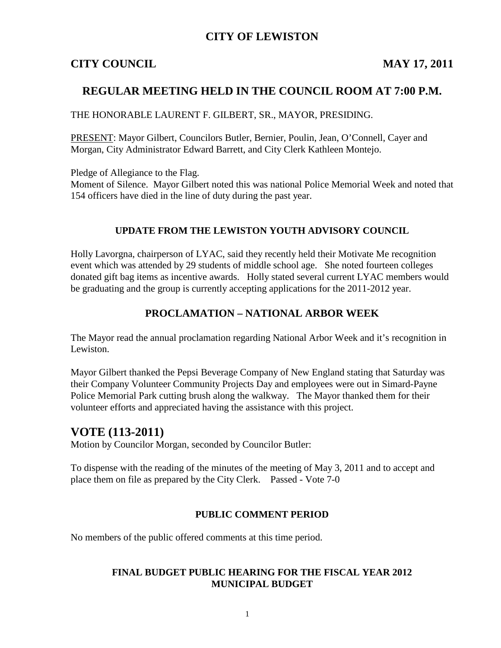## **CITY OF LEWISTON**

## **CITY COUNCIL MAY 17, 2011**

## **REGULAR MEETING HELD IN THE COUNCIL ROOM AT 7:00 P.M.**

#### THE HONORABLE LAURENT F. GILBERT, SR., MAYOR, PRESIDING.

PRESENT: Mayor Gilbert, Councilors Butler, Bernier, Poulin, Jean, O'Connell, Cayer and Morgan, City Administrator Edward Barrett, and City Clerk Kathleen Montejo.

Pledge of Allegiance to the Flag.

Moment of Silence. Mayor Gilbert noted this was national Police Memorial Week and noted that 154 officers have died in the line of duty during the past year.

#### **UPDATE FROM THE LEWISTON YOUTH ADVISORY COUNCIL**

Holly Lavorgna, chairperson of LYAC, said they recently held their Motivate Me recognition event which was attended by 29 students of middle school age. She noted fourteen colleges donated gift bag items as incentive awards. Holly stated several current LYAC members would be graduating and the group is currently accepting applications for the 2011-2012 year.

## **PROCLAMATION – NATIONAL ARBOR WEEK**

The Mayor read the annual proclamation regarding National Arbor Week and it's recognition in Lewiston.

Mayor Gilbert thanked the Pepsi Beverage Company of New England stating that Saturday was their Company Volunteer Community Projects Day and employees were out in Simard-Payne Police Memorial Park cutting brush along the walkway. The Mayor thanked them for their volunteer efforts and appreciated having the assistance with this project.

## **VOTE (113-2011)**

Motion by Councilor Morgan, seconded by Councilor Butler:

To dispense with the reading of the minutes of the meeting of May 3, 2011 and to accept and place them on file as prepared by the City Clerk. Passed - Vote 7-0

#### **PUBLIC COMMENT PERIOD**

No members of the public offered comments at this time period.

#### **FINAL BUDGET PUBLIC HEARING FOR THE FISCAL YEAR 2012 MUNICIPAL BUDGET**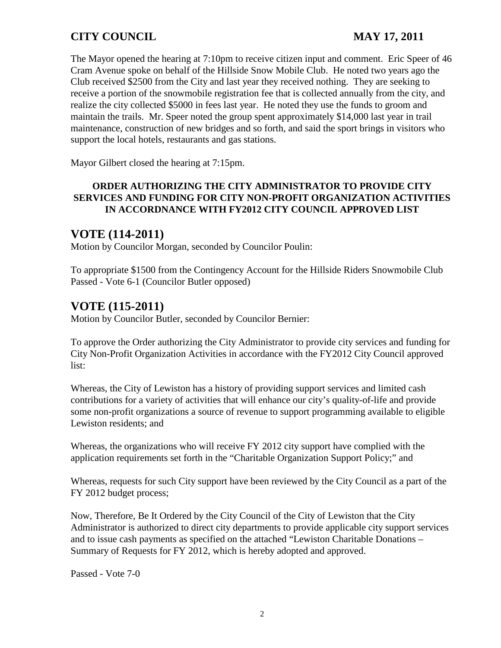The Mayor opened the hearing at 7:10pm to receive citizen input and comment. Eric Speer of 46 Cram Avenue spoke on behalf of the Hillside Snow Mobile Club. He noted two years ago the Club received \$2500 from the City and last year they received nothing. They are seeking to receive a portion of the snowmobile registration fee that is collected annually from the city, and realize the city collected \$5000 in fees last year. He noted they use the funds to groom and maintain the trails. Mr. Speer noted the group spent approximately \$14,000 last year in trail maintenance, construction of new bridges and so forth, and said the sport brings in visitors who support the local hotels, restaurants and gas stations.

Mayor Gilbert closed the hearing at 7:15pm.

## **ORDER AUTHORIZING THE CITY ADMINISTRATOR TO PROVIDE CITY SERVICES AND FUNDING FOR CITY NON-PROFIT ORGANIZATION ACTIVITIES IN ACCORDNANCE WITH FY2012 CITY COUNCIL APPROVED LIST**

## **VOTE (114-2011)**

Motion by Councilor Morgan, seconded by Councilor Poulin:

To appropriate \$1500 from the Contingency Account for the Hillside Riders Snowmobile Club Passed - Vote 6-1 (Councilor Butler opposed)

# **VOTE (115-2011)**

Motion by Councilor Butler, seconded by Councilor Bernier:

To approve the Order authorizing the City Administrator to provide city services and funding for City Non-Profit Organization Activities in accordance with the FY2012 City Council approved list:

Whereas, the City of Lewiston has a history of providing support services and limited cash contributions for a variety of activities that will enhance our city's quality-of-life and provide some non-profit organizations a source of revenue to support programming available to eligible Lewiston residents; and

Whereas, the organizations who will receive FY 2012 city support have complied with the application requirements set forth in the "Charitable Organization Support Policy;" and

Whereas, requests for such City support have been reviewed by the City Council as a part of the FY 2012 budget process;

Now, Therefore, Be It Ordered by the City Council of the City of Lewiston that the City Administrator is authorized to direct city departments to provide applicable city support services and to issue cash payments as specified on the attached "Lewiston Charitable Donations – Summary of Requests for FY 2012, which is hereby adopted and approved.

Passed - Vote 7-0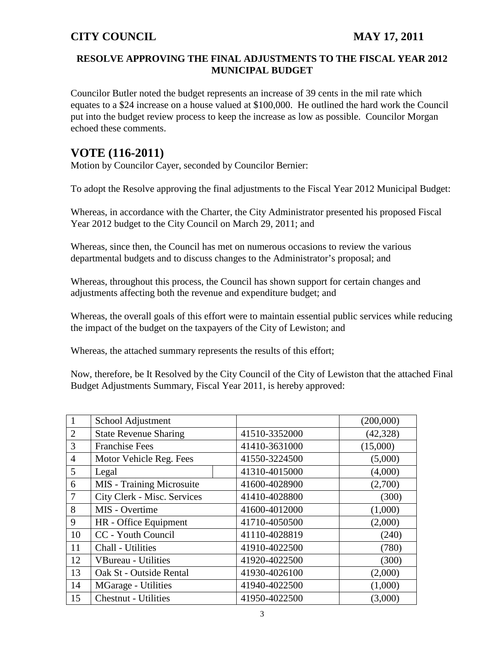## **RESOLVE APPROVING THE FINAL ADJUSTMENTS TO THE FISCAL YEAR 2012 MUNICIPAL BUDGET**

Councilor Butler noted the budget represents an increase of 39 cents in the mil rate which equates to a \$24 increase on a house valued at \$100,000. He outlined the hard work the Council put into the budget review process to keep the increase as low as possible. Councilor Morgan echoed these comments.

# **VOTE (116-2011)**

Motion by Councilor Cayer, seconded by Councilor Bernier:

To adopt the Resolve approving the final adjustments to the Fiscal Year 2012 Municipal Budget:

Whereas, in accordance with the Charter, the City Administrator presented his proposed Fiscal Year 2012 budget to the City Council on March 29, 2011; and

Whereas, since then, the Council has met on numerous occasions to review the various departmental budgets and to discuss changes to the Administrator's proposal; and

Whereas, throughout this process, the Council has shown support for certain changes and adjustments affecting both the revenue and expenditure budget; and

Whereas, the overall goals of this effort were to maintain essential public services while reducing the impact of the budget on the taxpayers of the City of Lewiston; and

Whereas, the attached summary represents the results of this effort;

Now, therefore, be It Resolved by the City Council of the City of Lewiston that the attached Final Budget Adjustments Summary, Fiscal Year 2011, is hereby approved:

|                | School Adjustment                |               | (200,000) |
|----------------|----------------------------------|---------------|-----------|
| $\overline{2}$ | <b>State Revenue Sharing</b>     | 41510-3352000 | (42, 328) |
| 3              | <b>Franchise Fees</b>            | 41410-3631000 | (15,000)  |
| $\overline{4}$ | Motor Vehicle Reg. Fees          | 41550-3224500 | (5,000)   |
| 5              | Legal                            | 41310-4015000 | (4,000)   |
| 6              | <b>MIS</b> - Training Microsuite | 41600-4028900 | (2,700)   |
| $\overline{7}$ | City Clerk - Misc. Services      | 41410-4028800 | (300)     |
| 8              | MIS - Overtime                   | 41600-4012000 | (1,000)   |
| 9              | HR - Office Equipment            | 41710-4050500 | (2,000)   |
| 10             | CC - Youth Council               | 41110-4028819 | (240)     |
| 11             | Chall - Utilities                | 41910-4022500 | (780)     |
| 12             | <b>VBureau - Utilities</b>       | 41920-4022500 | (300)     |
| 13             | Oak St - Outside Rental          | 41930-4026100 | (2,000)   |
| 14             | MGarage - Utilities              | 41940-4022500 | (1,000)   |
| 15             | Chestnut - Utilities             | 41950-4022500 | (3,000)   |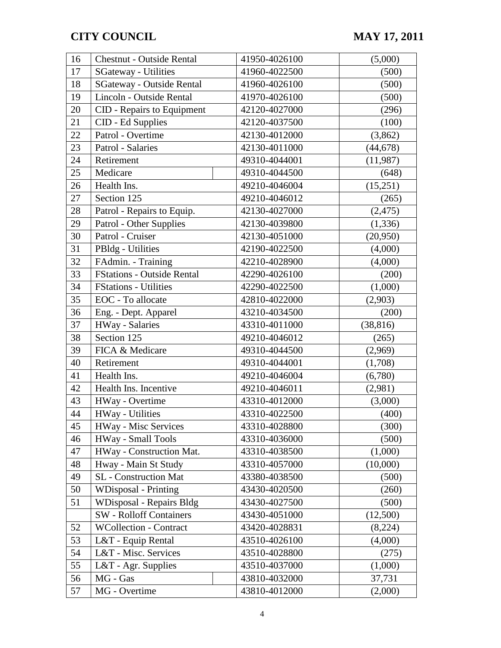| 16 | Chestnut - Outside Rental         | 41950-4026100 | (5,000)   |
|----|-----------------------------------|---------------|-----------|
| 17 | <b>SGateway - Utilities</b>       | 41960-4022500 | (500)     |
| 18 | <b>SGateway - Outside Rental</b>  | 41960-4026100 | (500)     |
| 19 | Lincoln - Outside Rental          | 41970-4026100 | (500)     |
| 20 | CID - Repairs to Equipment        | 42120-4027000 | (296)     |
| 21 | CID - Ed Supplies                 | 42120-4037500 | (100)     |
| 22 | Patrol - Overtime                 | 42130-4012000 | (3,862)   |
| 23 | Patrol - Salaries                 | 42130-4011000 | (44, 678) |
| 24 | Retirement                        | 49310-4044001 | (11, 987) |
| 25 | Medicare                          | 49310-4044500 | (648)     |
| 26 | Health Ins.                       | 49210-4046004 | (15,251)  |
| 27 | Section 125                       | 49210-4046012 | (265)     |
| 28 | Patrol - Repairs to Equip.        | 42130-4027000 | (2, 475)  |
| 29 | Patrol - Other Supplies           | 42130-4039800 | (1, 336)  |
| 30 | Patrol - Cruiser                  | 42130-4051000 | (20,950)  |
| 31 | PBldg - Utilities                 | 42190-4022500 | (4,000)   |
| 32 | FAdmin. - Training                | 42210-4028900 | (4,000)   |
| 33 | <b>FStations - Outside Rental</b> | 42290-4026100 | (200)     |
| 34 | <b>FStations - Utilities</b>      | 42290-4022500 | (1,000)   |
| 35 | EOC - To allocate                 | 42810-4022000 | (2,903)   |
| 36 | Eng. - Dept. Apparel              | 43210-4034500 | (200)     |
| 37 | HWay - Salaries                   | 43310-4011000 | (38, 816) |
| 38 | Section 125                       | 49210-4046012 | (265)     |
| 39 | FICA & Medicare                   | 49310-4044500 | (2,969)   |
| 40 | Retirement                        | 49310-4044001 | (1,708)   |
| 41 | Health Ins.                       | 49210-4046004 | (6,780)   |
| 42 | Health Ins. Incentive             | 49210-4046011 | (2,981)   |
| 43 | HWay - Overtime                   | 43310-4012000 | (3,000)   |
| 44 | HWay - Utilities                  | 43310-4022500 | (400)     |
| 45 | <b>HWay - Misc Services</b>       | 43310-4028800 | (300)     |
| 46 | HWay - Small Tools                | 43310-4036000 | (500)     |
| 47 | HWay - Construction Mat.          | 43310-4038500 | (1,000)   |
| 48 | Hway - Main St Study              | 43310-4057000 | (10,000)  |
| 49 | SL - Construction Mat             | 43380-4038500 | (500)     |
| 50 | <b>WDisposal</b> - Printing       | 43430-4020500 | (260)     |
| 51 | WDisposal - Repairs Bldg          | 43430-4027500 | (500)     |
|    | <b>SW</b> - Rolloff Containers    | 43430-4051000 | (12,500)  |
| 52 | <b>WCollection - Contract</b>     | 43420-4028831 | (8,224)   |
| 53 | L&T - Equip Rental                | 43510-4026100 | (4,000)   |
| 54 | L&T - Misc. Services              | 43510-4028800 | (275)     |
| 55 | L&T - Agr. Supplies               | 43510-4037000 | (1,000)   |
| 56 | MG - Gas                          | 43810-4032000 | 37,731    |
| 57 | MG - Overtime                     | 43810-4012000 | (2,000)   |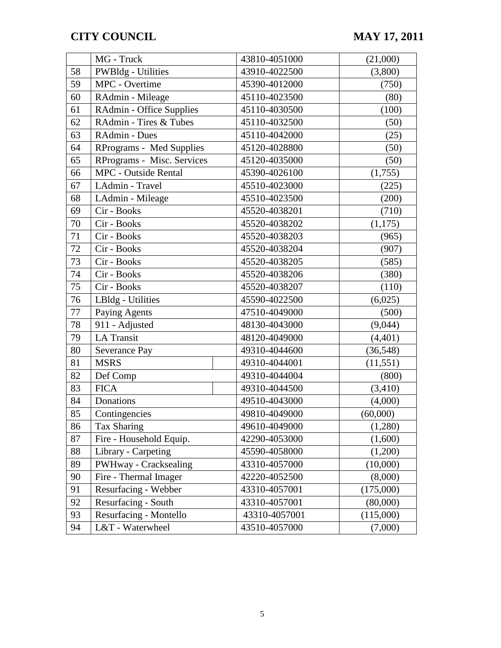|    | MG - Truck                      |  | 43810-4051000 | (21,000)  |
|----|---------------------------------|--|---------------|-----------|
| 58 | <b>PWBldg</b> - Utilities       |  | 43910-4022500 | (3,800)   |
| 59 | MPC - Overtime                  |  | 45390-4012000 | (750)     |
| 60 | RAdmin - Mileage                |  | 45110-4023500 | (80)      |
| 61 | RAdmin - Office Supplies        |  | 45110-4030500 | (100)     |
| 62 | RAdmin - Tires & Tubes          |  | 45110-4032500 | (50)      |
| 63 | RAdmin - Dues                   |  | 45110-4042000 | (25)      |
| 64 | <b>RPrograms - Med Supplies</b> |  | 45120-4028800 | (50)      |
| 65 | RPrograms - Misc. Services      |  | 45120-4035000 | (50)      |
| 66 | <b>MPC</b> - Outside Rental     |  | 45390-4026100 | (1,755)   |
| 67 | LAdmin - Travel                 |  | 45510-4023000 | (225)     |
| 68 | LAdmin - Mileage                |  | 45510-4023500 | (200)     |
| 69 | Cir - Books                     |  | 45520-4038201 | (710)     |
| 70 | Cir - Books                     |  | 45520-4038202 | (1,175)   |
| 71 | Cir - Books                     |  | 45520-4038203 | (965)     |
| 72 | Cir - Books                     |  | 45520-4038204 | (907)     |
| 73 | Cir - Books                     |  | 45520-4038205 | (585)     |
| 74 | Cir - Books                     |  | 45520-4038206 | (380)     |
| 75 | Cir - Books                     |  | 45520-4038207 | (110)     |
| 76 | LBldg - Utilities               |  | 45590-4022500 | (6,025)   |
| 77 | Paying Agents                   |  | 47510-4049000 | (500)     |
| 78 | 911 - Adjusted                  |  | 48130-4043000 | (9,044)   |
| 79 | <b>LA Transit</b>               |  | 48120-4049000 | (4,401)   |
| 80 | Severance Pay                   |  | 49310-4044600 | (36, 548) |
| 81 | <b>MSRS</b>                     |  | 49310-4044001 | (11, 551) |
| 82 | Def Comp                        |  | 49310-4044004 | (800)     |
| 83 | <b>FICA</b>                     |  | 49310-4044500 | (3,410)   |
| 84 | Donations                       |  | 49510-4043000 | (4,000)   |
| 85 | Contingencies                   |  | 49810-4049000 | (60,000)  |
| 86 | Tax Sharing                     |  | 49610-4049000 | (1,280)   |
| 87 | Fire - Household Equip.         |  | 42290-4053000 | (1,600)   |
| 88 | Library - Carpeting             |  | 45590-4058000 | (1,200)   |
| 89 | PWHway - Cracksealing           |  | 43310-4057000 | (10,000)  |
| 90 | Fire - Thermal Imager           |  | 42220-4052500 | (8,000)   |
| 91 | Resurfacing - Webber            |  | 43310-4057001 | (175,000) |
| 92 | Resurfacing - South             |  | 43310-4057001 | (80,000)  |
| 93 | Resurfacing - Montello          |  | 43310-4057001 | (115,000) |
| 94 | L&T - Waterwheel                |  | 43510-4057000 | (7,000)   |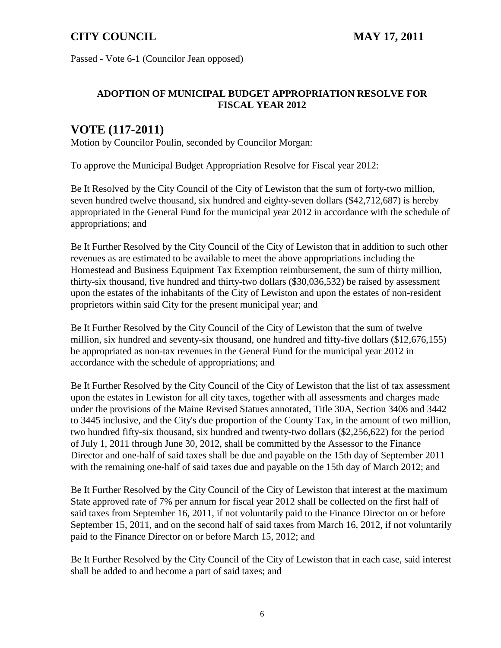Passed - Vote 6-1 (Councilor Jean opposed)

## **ADOPTION OF MUNICIPAL BUDGET APPROPRIATION RESOLVE FOR FISCAL YEAR 2012**

# **VOTE (117-2011)**

Motion by Councilor Poulin, seconded by Councilor Morgan:

To approve the Municipal Budget Appropriation Resolve for Fiscal year 2012:

Be It Resolved by the City Council of the City of Lewiston that the sum of forty-two million, seven hundred twelve thousand, six hundred and eighty-seven dollars (\$42,712,687) is hereby appropriated in the General Fund for the municipal year 2012 in accordance with the schedule of appropriations; and

Be It Further Resolved by the City Council of the City of Lewiston that in addition to such other revenues as are estimated to be available to meet the above appropriations including the Homestead and Business Equipment Tax Exemption reimbursement, the sum of thirty million, thirty-six thousand, five hundred and thirty-two dollars (\$30,036,532) be raised by assessment upon the estates of the inhabitants of the City of Lewiston and upon the estates of non-resident proprietors within said City for the present municipal year; and

Be It Further Resolved by the City Council of the City of Lewiston that the sum of twelve million, six hundred and seventy-six thousand, one hundred and fifty-five dollars (\$12,676,155) be appropriated as non-tax revenues in the General Fund for the municipal year 2012 in accordance with the schedule of appropriations; and

Be It Further Resolved by the City Council of the City of Lewiston that the list of tax assessment upon the estates in Lewiston for all city taxes, together with all assessments and charges made under the provisions of the Maine Revised Statues annotated, Title 30A, Section 3406 and 3442 to 3445 inclusive, and the City's due proportion of the County Tax, in the amount of two million, two hundred fifty-six thousand, six hundred and twenty-two dollars (\$2,256,622) for the period of July 1, 2011 through June 30, 2012, shall be committed by the Assessor to the Finance Director and one-half of said taxes shall be due and payable on the 15th day of September 2011 with the remaining one-half of said taxes due and payable on the 15th day of March 2012; and

Be It Further Resolved by the City Council of the City of Lewiston that interest at the maximum State approved rate of 7% per annum for fiscal year 2012 shall be collected on the first half of said taxes from September 16, 2011, if not voluntarily paid to the Finance Director on or before September 15, 2011, and on the second half of said taxes from March 16, 2012, if not voluntarily paid to the Finance Director on or before March 15, 2012; and

Be It Further Resolved by the City Council of the City of Lewiston that in each case, said interest shall be added to and become a part of said taxes; and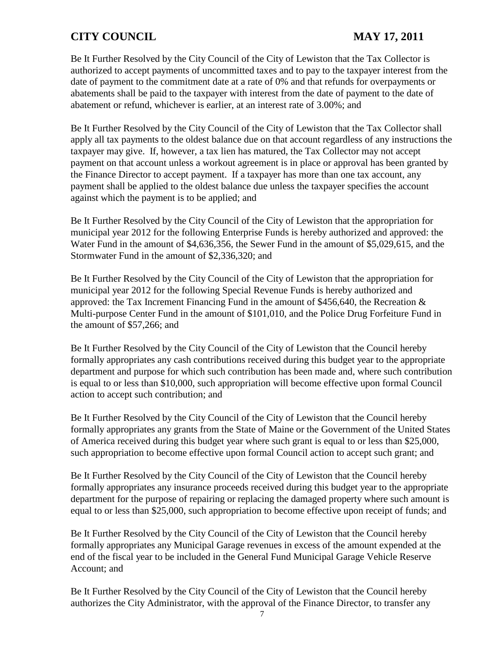Be It Further Resolved by the City Council of the City of Lewiston that the Tax Collector is authorized to accept payments of uncommitted taxes and to pay to the taxpayer interest from the date of payment to the commitment date at a rate of 0% and that refunds for overpayments or abatements shall be paid to the taxpayer with interest from the date of payment to the date of abatement or refund, whichever is earlier, at an interest rate of 3.00%; and

Be It Further Resolved by the City Council of the City of Lewiston that the Tax Collector shall apply all tax payments to the oldest balance due on that account regardless of any instructions the taxpayer may give. If, however, a tax lien has matured, the Tax Collector may not accept payment on that account unless a workout agreement is in place or approval has been granted by the Finance Director to accept payment. If a taxpayer has more than one tax account, any payment shall be applied to the oldest balance due unless the taxpayer specifies the account against which the payment is to be applied; and

Be It Further Resolved by the City Council of the City of Lewiston that the appropriation for municipal year 2012 for the following Enterprise Funds is hereby authorized and approved: the Water Fund in the amount of \$4,636,356, the Sewer Fund in the amount of \$5,029,615, and the Stormwater Fund in the amount of \$2,336,320; and

Be It Further Resolved by the City Council of the City of Lewiston that the appropriation for municipal year 2012 for the following Special Revenue Funds is hereby authorized and approved: the Tax Increment Financing Fund in the amount of \$456,640, the Recreation & Multi-purpose Center Fund in the amount of \$101,010, and the Police Drug Forfeiture Fund in the amount of \$57,266; and

Be It Further Resolved by the City Council of the City of Lewiston that the Council hereby formally appropriates any cash contributions received during this budget year to the appropriate department and purpose for which such contribution has been made and, where such contribution is equal to or less than \$10,000, such appropriation will become effective upon formal Council action to accept such contribution; and

Be It Further Resolved by the City Council of the City of Lewiston that the Council hereby formally appropriates any grants from the State of Maine or the Government of the United States of America received during this budget year where such grant is equal to or less than \$25,000, such appropriation to become effective upon formal Council action to accept such grant; and

Be It Further Resolved by the City Council of the City of Lewiston that the Council hereby formally appropriates any insurance proceeds received during this budget year to the appropriate department for the purpose of repairing or replacing the damaged property where such amount is equal to or less than \$25,000, such appropriation to become effective upon receipt of funds; and

Be It Further Resolved by the City Council of the City of Lewiston that the Council hereby formally appropriates any Municipal Garage revenues in excess of the amount expended at the end of the fiscal year to be included in the General Fund Municipal Garage Vehicle Reserve Account; and

Be It Further Resolved by the City Council of the City of Lewiston that the Council hereby authorizes the City Administrator, with the approval of the Finance Director, to transfer any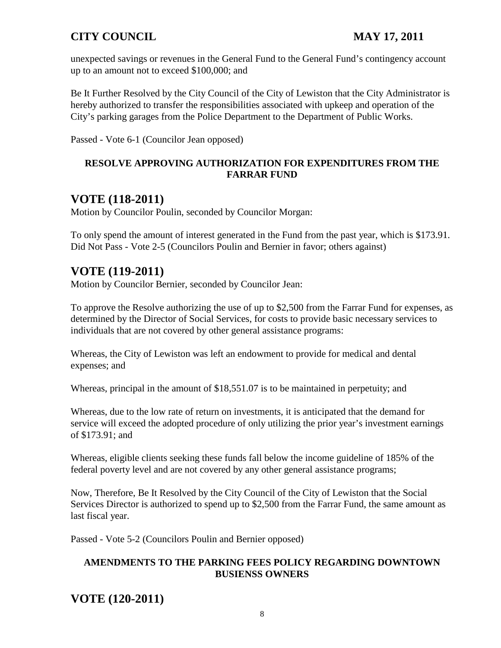unexpected savings or revenues in the General Fund to the General Fund's contingency account up to an amount not to exceed \$100,000; and

Be It Further Resolved by the City Council of the City of Lewiston that the City Administrator is hereby authorized to transfer the responsibilities associated with upkeep and operation of the City's parking garages from the Police Department to the Department of Public Works.

Passed - Vote 6-1 (Councilor Jean opposed)

## **RESOLVE APPROVING AUTHORIZATION FOR EXPENDITURES FROM THE FARRAR FUND**

# **VOTE (118-2011)**

Motion by Councilor Poulin, seconded by Councilor Morgan:

To only spend the amount of interest generated in the Fund from the past year, which is \$173.91. Did Not Pass - Vote 2-5 (Councilors Poulin and Bernier in favor; others against)

# **VOTE (119-2011)**

Motion by Councilor Bernier, seconded by Councilor Jean:

To approve the Resolve authorizing the use of up to \$2,500 from the Farrar Fund for expenses, as determined by the Director of Social Services, for costs to provide basic necessary services to individuals that are not covered by other general assistance programs:

Whereas, the City of Lewiston was left an endowment to provide for medical and dental expenses; and

Whereas, principal in the amount of \$18,551.07 is to be maintained in perpetuity; and

Whereas, due to the low rate of return on investments, it is anticipated that the demand for service will exceed the adopted procedure of only utilizing the prior year's investment earnings of \$173.91; and

Whereas, eligible clients seeking these funds fall below the income guideline of 185% of the federal poverty level and are not covered by any other general assistance programs;

Now, Therefore, Be It Resolved by the City Council of the City of Lewiston that the Social Services Director is authorized to spend up to \$2,500 from the Farrar Fund, the same amount as last fiscal year.

Passed - Vote 5-2 (Councilors Poulin and Bernier opposed)

## **AMENDMENTS TO THE PARKING FEES POLICY REGARDING DOWNTOWN BUSIENSS OWNERS**

# **VOTE (120-2011)**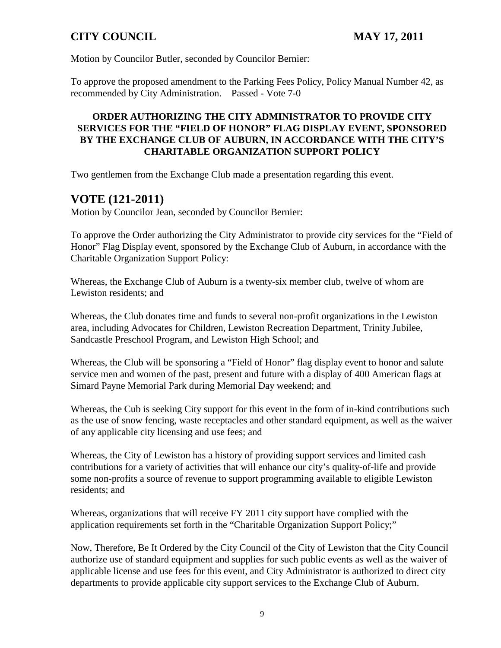Motion by Councilor Butler, seconded by Councilor Bernier:

To approve the proposed amendment to the Parking Fees Policy, Policy Manual Number 42, as recommended by City Administration. Passed - Vote 7-0

## **ORDER AUTHORIZING THE CITY ADMINISTRATOR TO PROVIDE CITY SERVICES FOR THE "FIELD OF HONOR" FLAG DISPLAY EVENT, SPONSORED BY THE EXCHANGE CLUB OF AUBURN, IN ACCORDANCE WITH THE CITY'S CHARITABLE ORGANIZATION SUPPORT POLICY**

Two gentlemen from the Exchange Club made a presentation regarding this event.

# **VOTE (121-2011)**

Motion by Councilor Jean, seconded by Councilor Bernier:

To approve the Order authorizing the City Administrator to provide city services for the "Field of Honor" Flag Display event, sponsored by the Exchange Club of Auburn, in accordance with the Charitable Organization Support Policy:

Whereas, the Exchange Club of Auburn is a twenty-six member club, twelve of whom are Lewiston residents; and

Whereas, the Club donates time and funds to several non-profit organizations in the Lewiston area, including Advocates for Children, Lewiston Recreation Department, Trinity Jubilee, Sandcastle Preschool Program, and Lewiston High School; and

Whereas, the Club will be sponsoring a "Field of Honor" flag display event to honor and salute service men and women of the past, present and future with a display of 400 American flags at Simard Payne Memorial Park during Memorial Day weekend; and

Whereas, the Cub is seeking City support for this event in the form of in-kind contributions such as the use of snow fencing, waste receptacles and other standard equipment, as well as the waiver of any applicable city licensing and use fees; and

Whereas, the City of Lewiston has a history of providing support services and limited cash contributions for a variety of activities that will enhance our city's quality-of-life and provide some non-profits a source of revenue to support programming available to eligible Lewiston residents; and

Whereas, organizations that will receive FY 2011 city support have complied with the application requirements set forth in the "Charitable Organization Support Policy;"

Now, Therefore, Be It Ordered by the City Council of the City of Lewiston that the City Council authorize use of standard equipment and supplies for such public events as well as the waiver of applicable license and use fees for this event, and City Administrator is authorized to direct city departments to provide applicable city support services to the Exchange Club of Auburn.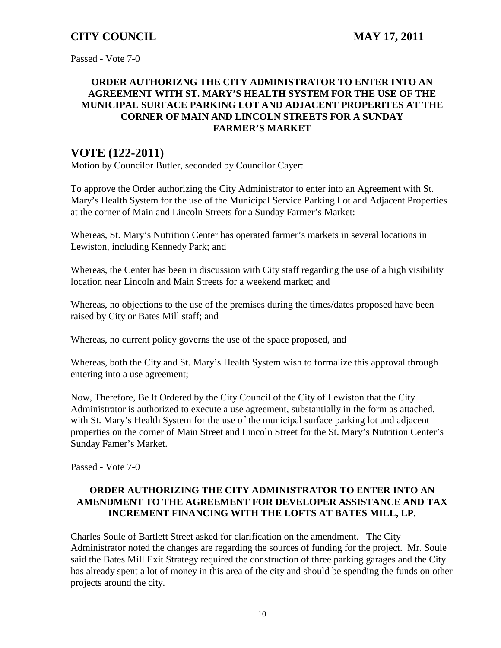Passed - Vote 7-0

## **ORDER AUTHORIZNG THE CITY ADMINISTRATOR TO ENTER INTO AN AGREEMENT WITH ST. MARY'S HEALTH SYSTEM FOR THE USE OF THE MUNICIPAL SURFACE PARKING LOT AND ADJACENT PROPERITES AT THE CORNER OF MAIN AND LINCOLN STREETS FOR A SUNDAY FARMER'S MARKET**

# **VOTE (122-2011)**

Motion by Councilor Butler, seconded by Councilor Cayer:

To approve the Order authorizing the City Administrator to enter into an Agreement with St. Mary's Health System for the use of the Municipal Service Parking Lot and Adjacent Properties at the corner of Main and Lincoln Streets for a Sunday Farmer's Market:

Whereas, St. Mary's Nutrition Center has operated farmer's markets in several locations in Lewiston, including Kennedy Park; and

Whereas, the Center has been in discussion with City staff regarding the use of a high visibility location near Lincoln and Main Streets for a weekend market; and

Whereas, no objections to the use of the premises during the times/dates proposed have been raised by City or Bates Mill staff; and

Whereas, no current policy governs the use of the space proposed, and

Whereas, both the City and St. Mary's Health System wish to formalize this approval through entering into a use agreement;

Now, Therefore, Be It Ordered by the City Council of the City of Lewiston that the City Administrator is authorized to execute a use agreement, substantially in the form as attached, with St. Mary's Health System for the use of the municipal surface parking lot and adjacent properties on the corner of Main Street and Lincoln Street for the St. Mary's Nutrition Center's Sunday Famer's Market.

Passed - Vote 7-0

## **ORDER AUTHORIZING THE CITY ADMINISTRATOR TO ENTER INTO AN AMENDMENT TO THE AGREEMENT FOR DEVELOPER ASSISTANCE AND TAX INCREMENT FINANCING WITH THE LOFTS AT BATES MILL, LP.**

Charles Soule of Bartlett Street asked for clarification on the amendment. The City Administrator noted the changes are regarding the sources of funding for the project. Mr. Soule said the Bates Mill Exit Strategy required the construction of three parking garages and the City has already spent a lot of money in this area of the city and should be spending the funds on other projects around the city.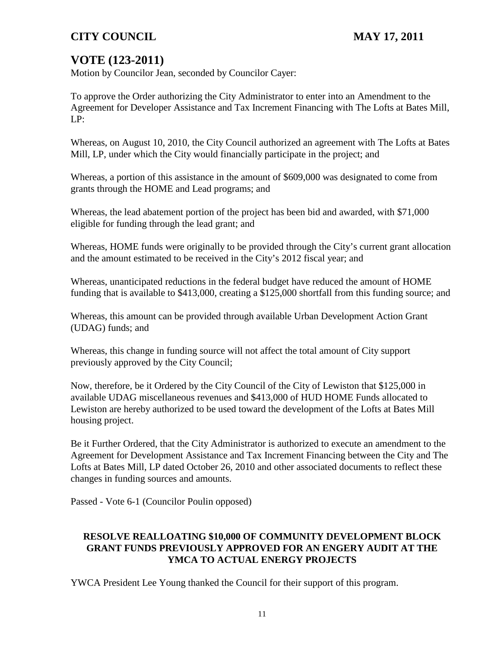# **VOTE (123-2011)**

Motion by Councilor Jean, seconded by Councilor Cayer:

To approve the Order authorizing the City Administrator to enter into an Amendment to the Agreement for Developer Assistance and Tax Increment Financing with The Lofts at Bates Mill, LP:

Whereas, on August 10, 2010, the City Council authorized an agreement with The Lofts at Bates Mill, LP, under which the City would financially participate in the project; and

Whereas, a portion of this assistance in the amount of \$609,000 was designated to come from grants through the HOME and Lead programs; and

Whereas, the lead abatement portion of the project has been bid and awarded, with \$71,000 eligible for funding through the lead grant; and

Whereas, HOME funds were originally to be provided through the City's current grant allocation and the amount estimated to be received in the City's 2012 fiscal year; and

Whereas, unanticipated reductions in the federal budget have reduced the amount of HOME funding that is available to \$413,000, creating a \$125,000 shortfall from this funding source; and

Whereas, this amount can be provided through available Urban Development Action Grant (UDAG) funds; and

Whereas, this change in funding source will not affect the total amount of City support previously approved by the City Council;

Now, therefore, be it Ordered by the City Council of the City of Lewiston that \$125,000 in available UDAG miscellaneous revenues and \$413,000 of HUD HOME Funds allocated to Lewiston are hereby authorized to be used toward the development of the Lofts at Bates Mill housing project.

Be it Further Ordered, that the City Administrator is authorized to execute an amendment to the Agreement for Development Assistance and Tax Increment Financing between the City and The Lofts at Bates Mill, LP dated October 26, 2010 and other associated documents to reflect these changes in funding sources and amounts.

Passed - Vote 6-1 (Councilor Poulin opposed)

## **RESOLVE REALLOATING \$10,000 OF COMMUNITY DEVELOPMENT BLOCK GRANT FUNDS PREVIOUSLY APPROVED FOR AN ENGERY AUDIT AT THE YMCA TO ACTUAL ENERGY PROJECTS**

YWCA President Lee Young thanked the Council for their support of this program.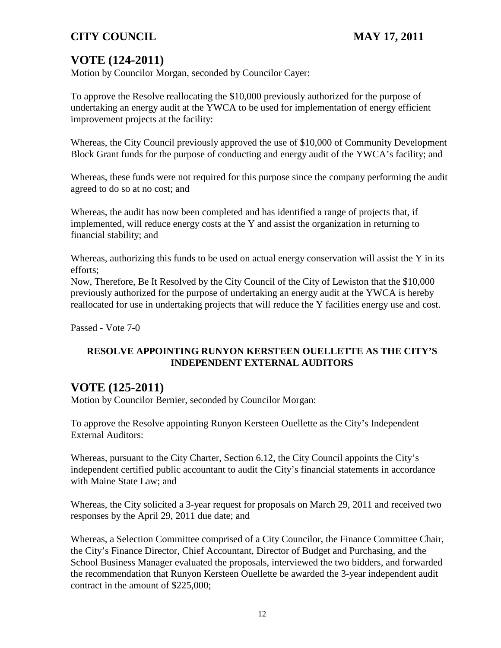# **VOTE (124-2011)**

Motion by Councilor Morgan, seconded by Councilor Cayer:

To approve the Resolve reallocating the \$10,000 previously authorized for the purpose of undertaking an energy audit at the YWCA to be used for implementation of energy efficient improvement projects at the facility:

Whereas, the City Council previously approved the use of \$10,000 of Community Development Block Grant funds for the purpose of conducting and energy audit of the YWCA's facility; and

Whereas, these funds were not required for this purpose since the company performing the audit agreed to do so at no cost; and

Whereas, the audit has now been completed and has identified a range of projects that, if implemented, will reduce energy costs at the Y and assist the organization in returning to financial stability; and

Whereas, authorizing this funds to be used on actual energy conservation will assist the Y in its efforts;

Now, Therefore, Be It Resolved by the City Council of the City of Lewiston that the \$10,000 previously authorized for the purpose of undertaking an energy audit at the YWCA is hereby reallocated for use in undertaking projects that will reduce the Y facilities energy use and cost.

Passed - Vote 7-0

## **RESOLVE APPOINTING RUNYON KERSTEEN OUELLETTE AS THE CITY'S INDEPENDENT EXTERNAL AUDITORS**

# **VOTE (125-2011)**

Motion by Councilor Bernier, seconded by Councilor Morgan:

To approve the Resolve appointing Runyon Kersteen Ouellette as the City's Independent External Auditors:

Whereas, pursuant to the City Charter, Section 6.12, the City Council appoints the City's independent certified public accountant to audit the City's financial statements in accordance with Maine State Law; and

Whereas, the City solicited a 3-year request for proposals on March 29, 2011 and received two responses by the April 29, 2011 due date; and

Whereas, a Selection Committee comprised of a City Councilor, the Finance Committee Chair, the City's Finance Director, Chief Accountant, Director of Budget and Purchasing, and the School Business Manager evaluated the proposals, interviewed the two bidders, and forwarded the recommendation that Runyon Kersteen Ouellette be awarded the 3-year independent audit contract in the amount of \$225,000;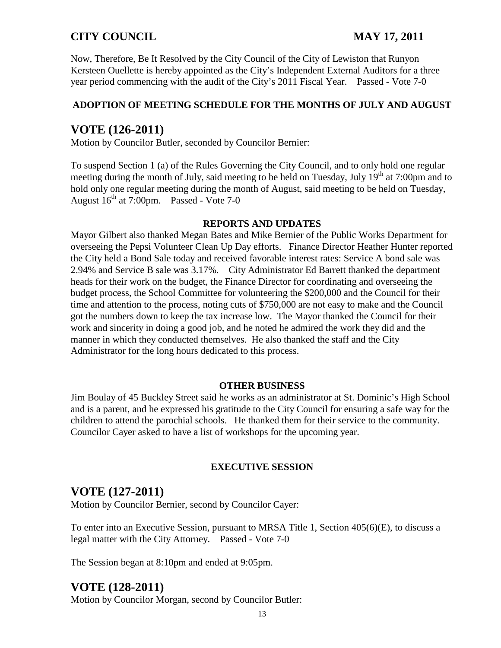Now, Therefore, Be It Resolved by the City Council of the City of Lewiston that Runyon Kersteen Ouellette is hereby appointed as the City's Independent External Auditors for a three year period commencing with the audit of the City's 2011 Fiscal Year. Passed - Vote 7-0

## **ADOPTION OF MEETING SCHEDULE FOR THE MONTHS OF JULY AND AUGUST**

# **VOTE (126-2011)**

Motion by Councilor Butler, seconded by Councilor Bernier:

To suspend Section 1 (a) of the Rules Governing the City Council, and to only hold one regular meeting during the month of July, said meeting to be held on Tuesday, July  $19<sup>th</sup>$  at 7:00pm and to hold only one regular meeting during the month of August, said meeting to be held on Tuesday, August  $16^{th}$  at 7:00pm. Passed - Vote 7-0

#### **REPORTS AND UPDATES**

Mayor Gilbert also thanked Megan Bates and Mike Bernier of the Public Works Department for overseeing the Pepsi Volunteer Clean Up Day efforts. Finance Director Heather Hunter reported the City held a Bond Sale today and received favorable interest rates: Service A bond sale was 2.94% and Service B sale was 3.17%. City Administrator Ed Barrett thanked the department heads for their work on the budget, the Finance Director for coordinating and overseeing the budget process, the School Committee for volunteering the \$200,000 and the Council for their time and attention to the process, noting cuts of \$750,000 are not easy to make and the Council got the numbers down to keep the tax increase low. The Mayor thanked the Council for their work and sincerity in doing a good job, and he noted he admired the work they did and the manner in which they conducted themselves. He also thanked the staff and the City Administrator for the long hours dedicated to this process.

#### **OTHER BUSINESS**

Jim Boulay of 45 Buckley Street said he works as an administrator at St. Dominic's High School and is a parent, and he expressed his gratitude to the City Council for ensuring a safe way for the children to attend the parochial schools. He thanked them for their service to the community. Councilor Cayer asked to have a list of workshops for the upcoming year.

## **EXECUTIVE SESSION**

# **VOTE (127-2011)**

Motion by Councilor Bernier, second by Councilor Cayer:

To enter into an Executive Session, pursuant to MRSA Title 1, Section 405(6)(E), to discuss a legal matter with the City Attorney. Passed - Vote 7-0

The Session began at 8:10pm and ended at 9:05pm.

# **VOTE (128-2011)**

Motion by Councilor Morgan, second by Councilor Butler: